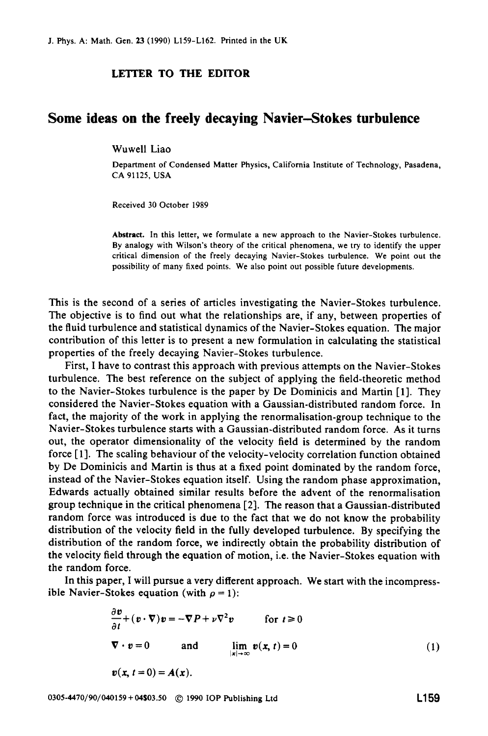## **LETTER TO THE EDITOR**

## **Some ideas on the freely decaying Navier-Stokes turbulence**

## Wuwell Liao

Department of Condensed Matter Physics, California Institute of Technology, Pasadena, **CA 91125,** USA

Received 30 October **1989** 

Abstract. In this letter, we formulate a new approach to the Navier-Stokes turbulence. By analogy with Wilson's theory of the critical phenomena, we try to identify the upper critical dimension of the freely decaying Navier-Stokes turbulence. We point out the possibility of many fixed points. We also point out possible future developments.

This is the second of a series of articles investigating the Navier-Stokes turbulence. The objective is to find out what the relationships are, if any, between properties of the fluid turbulence and statistical dynamics of the Navier-Stokes equation. The major contribution of this letter is to present a new formulation in calculating the statistical properties of the freely decaying Navier-Stokes turbulence.

First, I have to contrast this approach with previous attempts on the Navier-Stokes turbulence. The best reference on the subject of applying the field-theoretic method to the Navier-Stokes turbulence is the paper by De Dominicis and Martin [l]. They considered the Navier-Stokes equation with a Gaussian-distributed random force. In fact, the majority of the work in applying the renormalisation-group technique to the Navier-Stokes turbulence starts with a Gaussian-distributed random force. As it turns out, the operator dimensionality of the velocity field is determined by the random force [1]. The scaling behaviour of the velocity-velocity correlation function obtained by De Dominicis and Martin is thus at a fixed point dominated by the random force, instead of the Navier-Stokes equation itself. Using the random phase approximation, Edwards actually obtained similar results before the advent of the renormalisation group technique in the critical phenomena [2]. The reason that a Gaussian-distributed random force was introduced is due to the fact that we do not know the probability distribution of the velocity field in the fully developed turbulence. By specifying the distribution of the random force, we indirectly obtain the probability distribution of the velocity field through the equation of motion, i.e. the Navier-Stokes equation with the random force.

In this paper, I will pursue a very different approach. We start with the incompressible Navier-Stokes equation (with  $\rho = 1$ ):

$$
\frac{\partial \mathbf{v}}{\partial t} + (\mathbf{v} \cdot \nabla) \mathbf{v} = -\nabla P + \nu \nabla^2 \mathbf{v} \quad \text{for } t \ge 0
$$
  

$$
\nabla \cdot \mathbf{v} = 0 \quad \text{and} \quad \lim_{|\mathbf{x}| \to \infty} \mathbf{v}(\mathbf{x}, t) = 0
$$
  

$$
\mathbf{v}(\mathbf{x}, t = 0) = A(\mathbf{x}).
$$
 (1)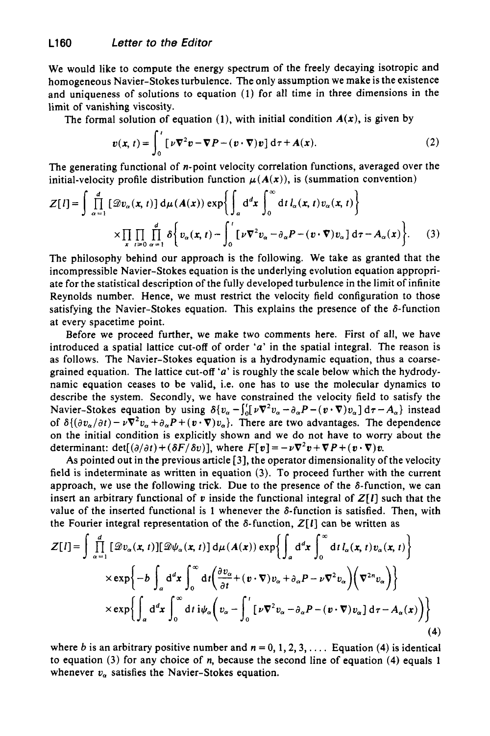We would like to compute the energy spectrum of the freely decaying isotropic and homogeneous Navier-Stokes turbulence. The only assumption we make is the existence and uniqueness of solutions to equation **(1)** for all time in three dimensions in the limit of vanishing viscosity.

The formal solution of equation (1), with initial condition  $A(x)$ , is given by

$$
v(x, t) = \int_0^t \left[ \nu \nabla^2 v - \nabla P - (v \cdot \nabla) v \right] d\tau + A(x). \tag{2}
$$

The generating functional of n-point velocity correlation functions, averaged over the initial-velocity profile distribution function  $\mu(A(x))$ , is (summation convention)

$$
Z[I] = \int \prod_{\alpha=1}^{d} [\mathcal{D}v_{\alpha}(\mathbf{x}, t)] d\mu(A(\mathbf{x})) \exp\left\{ \int_{a} d^{d} \mathbf{x} \int_{0}^{\infty} dt \, l_{\alpha}(\mathbf{x}, t) v_{\alpha}(\mathbf{x}, t) \right\}
$$

$$
\times \prod_{\mathbf{x}} \prod_{i \ge 0} \prod_{\alpha=1}^{d} \delta\left\{ v_{\alpha}(\mathbf{x}, t) - \int_{0}^{t} [\nu \nabla^{2} v_{\alpha} - \partial_{\alpha} P - (\mathbf{v} \cdot \nabla) v_{\alpha}] d\tau - A_{\alpha}(\mathbf{x}) \right\}. \tag{3}
$$

The philosophy behind our approach is the following. We take as granted that the incompressible Navier-Stokes equation is the underlying evolution equation appropriate for the statistical description of the fully developed turbulence in the limit of infinite Reynolds number. Hence, we must restrict the velocity field configuration to those satisfying the Navier-Stokes equation. This explains the presence of the  $\delta$ -function at every spacetime point.

Before we proceed further, we make two comments here. First of all, we have introduced a spatial lattice cut-off of order *'a'* in the spatial integral. The reason is as follows. The Navier-Stokes equation is a hydrodynamic equation, thus a coarsegrained equation. The lattice cut-off 'a' is roughly the scale below which the hydrodynamic equation ceases to be valid, i.e. one has to use the molecular dynamics to describe the system. Secondly, we have constrained the velocity field to satisfy the Navier-Stokes equation by using  $\delta \{ v_\alpha - \int_0^t [\nu \nabla^2 v_\alpha - \partial_\alpha P - (\nu \cdot \nabla) v_\alpha ] d\tau - A_\alpha \}$  instead of  $\delta\{(\partial v_\alpha/\partial t) - \nu \nabla^2 v_\alpha + \partial_\alpha P + (\nu \cdot \nabla)v_\alpha\}$ . There are two advantages. The dependence on the initial condition is explicitly shown and we do not have to worry about the determinant:  $det[(\partial/\partial t) + (\delta F/\delta v)]$ , where  $F[v] = -\nu \nabla^2 v + \nabla P + (v \cdot \nabla)v$ .

As pointed out in the previous article **[3],** the operator dimensionality of the velocity field is indeterminate as written in equation **(3).** To proceed further with the current approach, we use the following trick. Due to the presence of the  $\delta$ -function, we can insert an arbitrary functional of *v* inside the functional integral of  $Z[I]$  such that the value of the inserted functional is 1 whenever the  $\delta$ -function is satisfied. Then, with the Fourier integral representation of the  $\delta$ -function,  $Z[I]$  can be written as

$$
Z[I] = \int \prod_{\alpha=1}^{d} [\mathcal{D}v_{\alpha}(\mathbf{x}, t)][\mathcal{D}\psi_{\alpha}(\mathbf{x}, t)] d\mu(A(\mathbf{x})) \exp\left\{ \int_{a} d^{d}x \int_{0}^{\infty} dt \, l_{\alpha}(\mathbf{x}, t) v_{\alpha}(\mathbf{x}, t) \right\}
$$

$$
\times \exp\left\{ -b \int_{a} d^{d}x \int_{0}^{\infty} dt \left( \frac{\partial v_{\alpha}}{\partial t} + (\mathbf{v} \cdot \nabla) v_{\alpha} + \partial_{\alpha} P - \nu \nabla^{2} v_{\alpha} \right) \left( \nabla^{2} v_{\alpha} \right) \right\}
$$

$$
\times \exp\left\{ \int_{a} d^{d}x \int_{0}^{\infty} dt \, i \psi_{\alpha} \left( v_{\alpha} - \int_{0}^{t} [\nu \nabla^{2} v_{\alpha} - \partial_{\alpha} P - (\mathbf{v} \cdot \nabla) v_{\alpha}] d\tau - A_{\alpha}(x) \right) \right\}
$$
(4)

where *b* is an arbitrary positive number and  $n = 0, 1, 2, 3, \ldots$ . Equation (4) is identical to equation **(3)** for any choice of n, because the second line of equation **(4)** equals **1**  whenever  $v_a$  satisfies the Navier-Stokes equation.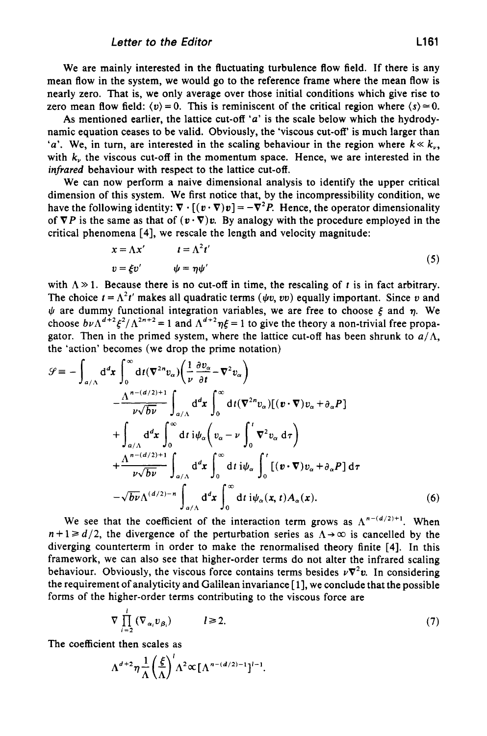We are mainly interested in the fluctuating turbulence flow field. If there is any mean flow in the system, we would go to the reference frame where the mean flow is nearly zero. That is, we only average over those initial conditions which give rise to zero mean flow field:  $\langle v \rangle = 0$ . This is reminiscent of the critical region where  $\langle s \rangle \approx 0$ .

As mentioned earlier, the lattice cut-off *'a'* is the scale below which the hydrodynamic equation ceases to be valid. Obviously, the 'viscous cut-off is much larger than 'a'. We, in turn, are interested in the scaling behaviour in the region where  $k \ll k_{\nu}$ , with *k,* the viscous cut-off in the momentum space. Hence, we are interested in the *infrared* behaviour with respect to the lattice cut-off.

We can now perform a naive dimensional analysis **to** identify the upper critical dimension of this system. We first notice that, by the incompressibility condition, we have the following identity:  $\nabla \cdot [(\mathbf{v} \cdot \nabla) \mathbf{v}] = -\nabla^2 P$ . Hence, the operator dimensionality of  $\nabla P$  is the same as that of  $(\mathbf{v} \cdot \nabla) \mathbf{v}$ . By analogy with the procedure employed in the critical phenomena [4], we rescale the length and velocity magnitude:

$$
x = \Lambda x' \qquad t = \Lambda^2 t'
$$
  
\n
$$
v = \xi v' \qquad \psi = \eta \psi'
$$
 (5)

with  $\Lambda \gg 1$ . Because there is no cut-off in time, the rescaling of t is in fact arbitrary. The choice  $t = \Lambda^2 t'$  makes all quadratic terms  $(\psi v, vv)$  equally important. Since *v* and  $\psi$  are dummy functional integration variables, we are free to choose  $\xi$  and  $\eta$ . We choose  $b\nu\Lambda^{d+2}\xi^2/\Lambda^{2n+2} = 1$  and  $\Lambda^{d+2}n\xi = 1$  to give the theory a non-trivial free propagator. Then in the primed system, where the lattice cut-off has been shrunk to  $a/\Lambda$ . the 'action' becomes (we drop the prime notation)

$$
\mathcal{G} = -\int_{a/\Lambda} d^d x \int_0^\infty dt (\nabla^{2n} v_\alpha) \left( \frac{1}{\nu} \frac{\partial v_\alpha}{\partial t} - \nabla^2 v_\alpha \right) \n- \frac{\Lambda^{n - (d/2) + 1}}{\nu \sqrt{b \nu}} \int_{a/\Lambda} d^d x \int_0^\infty dt (\nabla^{2n} v_\alpha) [(\mathbf{v} \cdot \nabla) v_\alpha + \partial_\alpha P] \n+ \int_{a/\Lambda} d^d x \int_0^\infty dt i \psi_\alpha \left( v_\alpha - \nu \int_0^t \nabla^2 v_\alpha d\tau \right) \n+ \frac{\Lambda^{n - (d/2) + 1}}{\nu \sqrt{b \nu}} \int_{a/\Lambda} d^d x \int_0^\infty dt i \psi_\alpha \int_0^t [(\mathbf{v} \cdot \nabla) v_\alpha + \partial_\alpha P] d\tau \n- \sqrt{b \nu} \Lambda^{(d/2) - n} \int_{a/\Lambda} d^d x \int_0^\infty dt i \psi_\alpha(x, t) A_\alpha(x).
$$
\n(6)

We see that the coefficient of the interaction term grows as  $\Lambda^{n-(d/2)+1}$ . When  $n+1 \ge d/2$ , the divergence of the perturbation series as  $\Lambda \rightarrow \infty$  is cancelled by the diverging counterterm in order to make the renormalised theory finite **[4].** In this framework, we can also see that higher-order terms do not alter the infrared scaling behaviour. Obviously, the viscous force contains terms besides  $\nu \nabla^2 \nu$ . In considering the requirement of analyticity and Galilean invariance [ **11,** we conclude that the possible forms of the higher-order terms contributing to the viscous force are

$$
\nabla \prod_{i=2}^{l} (\nabla_{\alpha_i} v_{\beta_i}) \qquad l \geq 2. \tag{7}
$$

The coefficient then scales as

$$
\Lambda^{d+2}\eta\frac{1}{\Lambda}\left(\frac{\xi}{\Lambda}\right)^{l}\Lambda^{2}\propto[\Lambda^{n-(d/2)-1}]^{l-1}.
$$